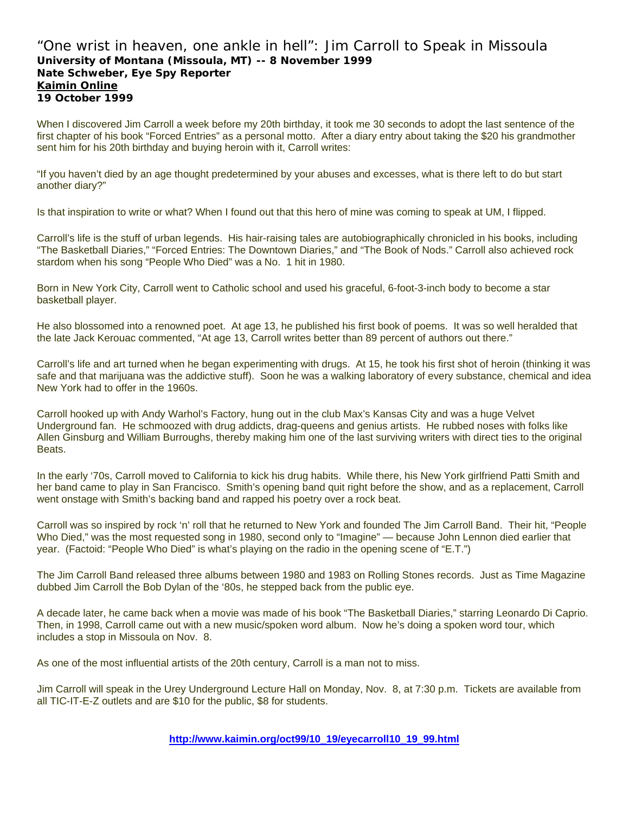# "One wrist in heaven, one ankle in hell": Jim Carroll to Speak in Missoula **University of Montana (Missoula, MT) -- 8 November 1999 Nate Schweber, Eye Spy Reporter Kaimin Online 19 October 1999**

When I discovered Jim Carroll a week before my 20th birthday, it took me 30 seconds to adopt the last sentence of the first chapter of his book "Forced Entries" as a personal motto. After a diary entry about taking the \$20 his grandmother sent him for his 20th birthday and buying heroin with it, Carroll writes:

"If you haven't died by an age thought predetermined by your abuses and excesses, what is there left to do but start another diary?"

Is that inspiration to write or what? When I found out that this hero of mine was coming to speak at UM, I flipped.

Carroll's life is the stuff of urban legends. His hair-raising tales are autobiographically chronicled in his books, including "The Basketball Diaries," "Forced Entries: The Downtown Diaries," and "The Book of Nods." Carroll also achieved rock stardom when his song "People Who Died" was a No. 1 hit in 1980.

Born in New York City, Carroll went to Catholic school and used his graceful, 6-foot-3-inch body to become a star basketball player.

He also blossomed into a renowned poet. At age 13, he published his first book of poems. It was so well heralded that the late Jack Kerouac commented, "At age 13, Carroll writes better than 89 percent of authors out there."

Carroll's life and art turned when he began experimenting with drugs. At 15, he took his first shot of heroin (thinking it was safe and that marijuana was the addictive stuff). Soon he was a walking laboratory of every substance, chemical and idea New York had to offer in the 1960s.

Carroll hooked up with Andy Warhol's Factory, hung out in the club Max's Kansas City and was a huge Velvet Underground fan. He schmoozed with drug addicts, drag-queens and genius artists. He rubbed noses with folks like Allen Ginsburg and William Burroughs, thereby making him one of the last surviving writers with direct ties to the original Beats.

In the early '70s, Carroll moved to California to kick his drug habits. While there, his New York girlfriend Patti Smith and her band came to play in San Francisco. Smith's opening band quit right before the show, and as a replacement, Carroll went onstage with Smith's backing band and rapped his poetry over a rock beat.

Carroll was so inspired by rock 'n' roll that he returned to New York and founded The Jim Carroll Band. Their hit, "People Who Died," was the most requested song in 1980, second only to "Imagine" — because John Lennon died earlier that year. (Factoid: "People Who Died" is what's playing on the radio in the opening scene of "E.T.")

The Jim Carroll Band released three albums between 1980 and 1983 on Rolling Stones records. Just as Time Magazine dubbed Jim Carroll the Bob Dylan of the '80s, he stepped back from the public eye.

A decade later, he came back when a movie was made of his book "The Basketball Diaries," starring Leonardo Di Caprio. Then, in 1998, Carroll came out with a new music/spoken word album. Now he's doing a spoken word tour, which includes a stop in Missoula on Nov. 8.

As one of the most influential artists of the 20th century, Carroll is a man not to miss.

Jim Carroll will speak in the Urey Underground Lecture Hall on Monday, Nov. 8, at 7:30 p.m. Tickets are available from all TIC-IT-E-Z outlets and are \$10 for the public, \$8 for students.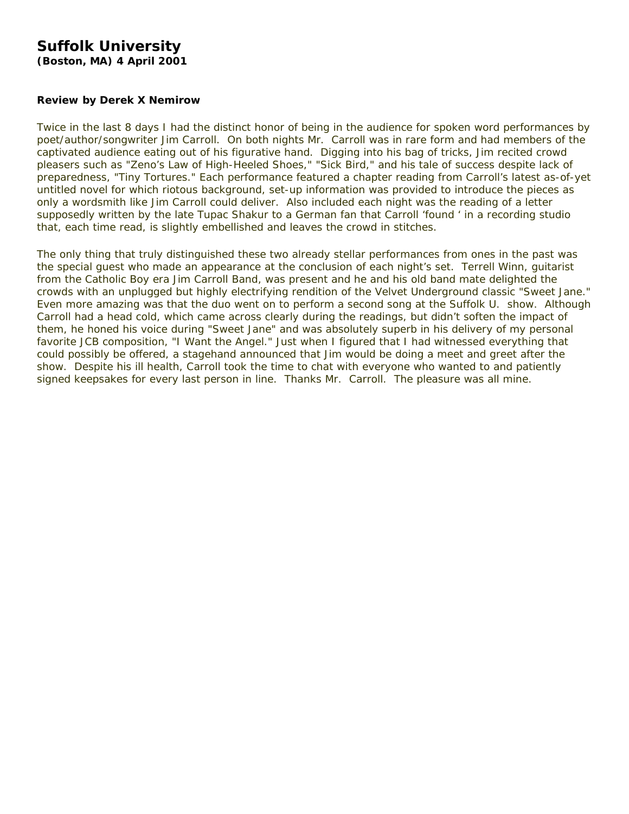# **Suffolk University**

**(Boston, MA) 4 April 2001** 

### **Review by Derek X Nemirow**

Twice in the last 8 days I had the distinct honor of being in the audience for spoken word performances by poet/author/songwriter Jim Carroll. On both nights Mr. Carroll was in rare form and had members of the captivated audience eating out of his figurative hand. Digging into his bag of tricks, Jim recited crowd pleasers such as "Zeno's Law of High-Heeled Shoes," "Sick Bird," and his tale of success despite lack of preparedness, "Tiny Tortures." Each performance featured a chapter reading from Carroll's latest as-of-yet untitled novel for which riotous background, set-up information was provided to introduce the pieces as only a wordsmith like Jim Carroll could deliver. Also included each night was the reading of a letter supposedly written by the late Tupac Shakur to a German fan that Carroll 'found ' in a recording studio that, each time read, is slightly embellished and leaves the crowd in stitches.

The only thing that truly distinguished these two already stellar performances from ones in the past was the special guest who made an appearance at the conclusion of each night's set. Terrell Winn, guitarist from the *Catholic Boy* era Jim Carroll Band, was present and he and his old band mate delighted the crowds with an unplugged but highly electrifying rendition of the Velvet Underground classic "Sweet Jane." Even more amazing was that the duo went on to perform a second song at the Suffolk U. show. Although Carroll had a head cold, which came across clearly during the readings, but didn't soften the impact of them, he honed his voice during "Sweet Jane" and was absolutely superb in his delivery of my personal favorite JCB composition, "I Want the Angel." Just when I figured that I had witnessed everything that could possibly be offered, a stagehand announced that Jim would be doing a meet and greet after the show. Despite his ill health, Carroll took the time to chat with everyone who wanted to and patiently signed keepsakes for every last person in line. Thanks Mr. Carroll. The pleasure was all mine.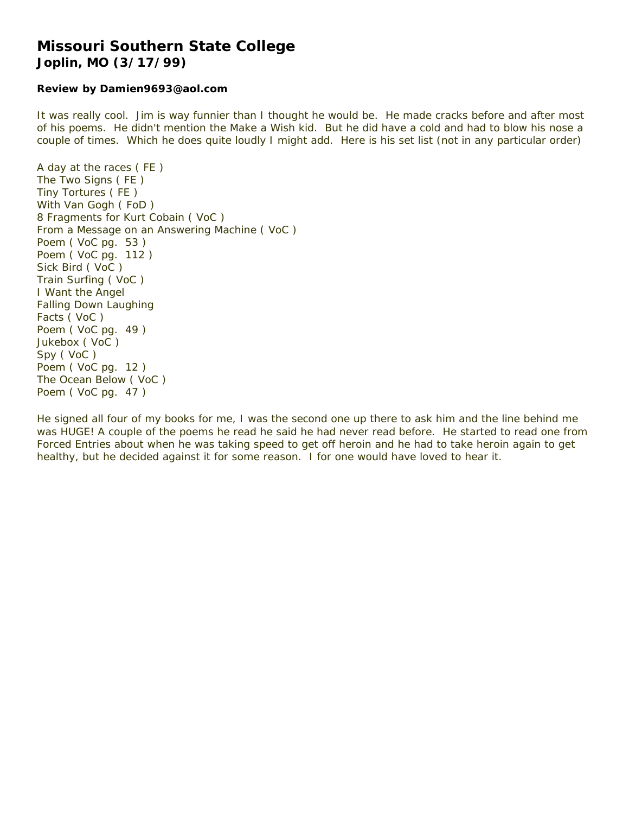# **Missouri Southern State College Joplin, MO (3/17/99)**

#### **Review by Damien9693@aol.com**

It was really cool. Jim is way funnier than I thought he would be. He made cracks before and after most of his poems. He didn't mention the Make a Wish kid. But he did have a cold and had to blow his nose a couple of times. Which he does quite loudly I might add. Here is his set list (not in any particular order)

A day at the races ( FE ) The Two Signs ( FE ) Tiny Tortures ( FE ) With Van Gogh ( FoD ) 8 Fragments for Kurt Cobain ( VoC ) From a Message on an Answering Machine ( VoC ) Poem ( VoC pg. 53 ) Poem ( VoC pg. 112 ) Sick Bird ( VoC ) Train Surfing ( VoC ) I Want the Angel Falling Down Laughing Facts ( VoC ) Poem ( VoC pg. 49 ) Jukebox ( VoC ) Spy ( VoC ) Poem ( VoC pg. 12 ) The Ocean Below ( VoC ) Poem ( VoC pg. 47 )

He signed all four of my books for me, I was the second one up there to ask him and the line behind me was HUGE! A couple of the poems he read he said he had never read before. He started to read one from *Forced Entries* about when he was taking speed to get off heroin and he had to take heroin again to get healthy, but he decided against it for some reason. I for one would have loved to hear it.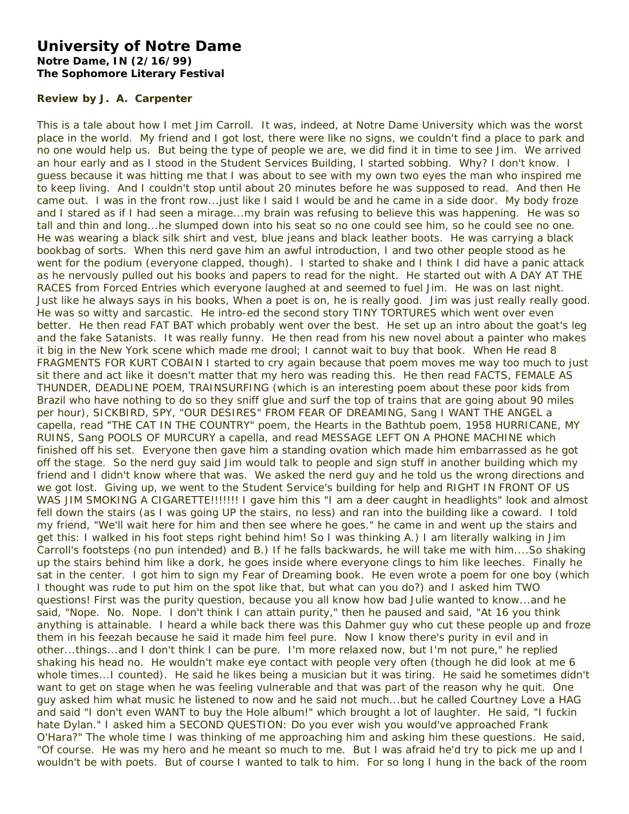# **University of Notre Dame Notre Dame, IN (2/16/99) The Sophomore Literary Festival**

### **Review by J. A. Carpenter**

This is a tale about how I met Jim Carroll. It was, indeed, at Notre Dame University which was the worst place in the world. My friend and I got lost, there were like no signs, we couldn't find a place to park and no one would help us. But being the type of people we are, we did find it in time to see Jim. We arrived an hour early and as I stood in the Student Services Building, I started sobbing. Why? I don't know. I guess because it was hitting me that I was about to see with my own two eyes the man who inspired me to keep living. And I couldn't stop until about 20 minutes before he was supposed to read. And then He came out. I was in the front row...just like I said I would be and he came in a side door. My body froze and I stared as if I had seen a mirage...my brain was refusing to believe this was happening. He was so tall and thin and long...he slumped down into his seat so no one could see him, so he could see no one. He was wearing a black silk shirt and vest, blue jeans and black leather boots. He was carrying a black bookbag of sorts. When this nerd gave him an awful introduction, I and two other people stood as he went for the podium (everyone clapped, though). I started to shake and I think I did have a panic attack as he nervously pulled out his books and papers to read for the night. He started out with A DAY AT THE RACES from *Forced Entries* which everyone laughed at and seemed to fuel Jim. He was on last night. Just like he always says in his books, When a poet is on, he is really good. Jim was just really really good. He was so witty and sarcastic. He intro-ed the second story TINY TORTURES which went over even better. He then read FAT BAT which probably went over the best. He set up an intro about the goat's leg and the fake Satanists. It was really funny. He then read from his new novel about a painter who makes it big in the New York scene which made me drool; I cannot wait to buy that book. When He read 8 FRAGMENTS FOR KURT COBAIN I started to cry again because that poem moves me way too much to just sit there and act like it doesn't matter that my hero was reading this. He then read FACTS, FEMALE AS THUNDER, DEADLINE POEM, TRAINSURFING (which is an interesting poem about these poor kids from Brazil who have nothing to do so they sniff glue and surf the top of trains that are going about 90 miles per hour), SICKBIRD, SPY, "OUR DESIRES" FROM *FEAR OF DREAMING*, Sang I WANT THE ANGEL a capella, read "THE CAT IN THE COUNTRY" poem, the Hearts in the Bathtub poem, 1958 HURRICANE, MY RUINS, Sang POOLS OF MURCURY a capella, and read MESSAGE LEFT ON A PHONE MACHINE which finished off his set. Everyone then gave him a standing ovation which made him embarrassed as he got off the stage. So the nerd guy said Jim would talk to people and sign stuff in another building which my friend and I didn't know where that was. We asked the nerd guy and he told us the wrong directions and we got lost. Giving up, we went to the Student Service's building for help and RIGHT IN FRONT OF US WAS JIM SMOKING A CIGARETTE!!!!!!!! I gave him this "I am a deer caught in headlights" look and almost fell down the stairs (as I was going UP the stairs, no less) and ran into the building like a coward. I told my friend, "We'll wait here for him and then see where he goes." he came in and went up the stairs and get this: I walked in his foot steps right behind him! So I was thinking A.) I am literally walking in Jim Carroll's footsteps (no pun intended) and B.) If he falls backwards, he will take me with him....So shaking up the stairs behind him like a dork, he goes inside where everyone clings to him like leeches. Finally he sat in the center. I got him to sign my Fear of Dreaming book. He even wrote a poem for one boy (which I thought was rude to put him on the spot like that, but what can you do?) and I asked him TWO questions! First was the purity question, because you all know how bad Julie wanted to know...and he said, "Nope. No. Nope. I don't think I can attain purity," then he paused and said, "At 16 you think anything is attainable. I heard a while back there was this Dahmer guy who cut these people up and froze them in his feezah because he said it made him feel pure. Now I know there's purity in evil and in other...things...and I don't think I can be pure. I'm more relaxed now, but I'm not pure," he replied shaking his head no. He wouldn't make eye contact with people very often (though he did look at me 6 whole times...I counted). He said he likes being a musician but it was tiring. He said he sometimes didn't want to get on stage when he was feeling vulnerable and that was part of the reason why he quit. One guy asked him what music he listened to now and he said not much...but he called Courtney Love a HAG and said "I don't even WANT to buy the Hole album!" which brought a lot of laughter. He said, "I fuckin hate Dylan." I asked him a SECOND QUESTION: Do you ever wish you would've approached Frank O'Hara?" The whole time I was thinking of me approaching him and asking him these questions. He said, "Of course. He was my hero and he meant so much to me. But I was afraid he'd try to pick me up and I wouldn't be with poets. But of course I wanted to talk to him. For so long I hung in the back of the room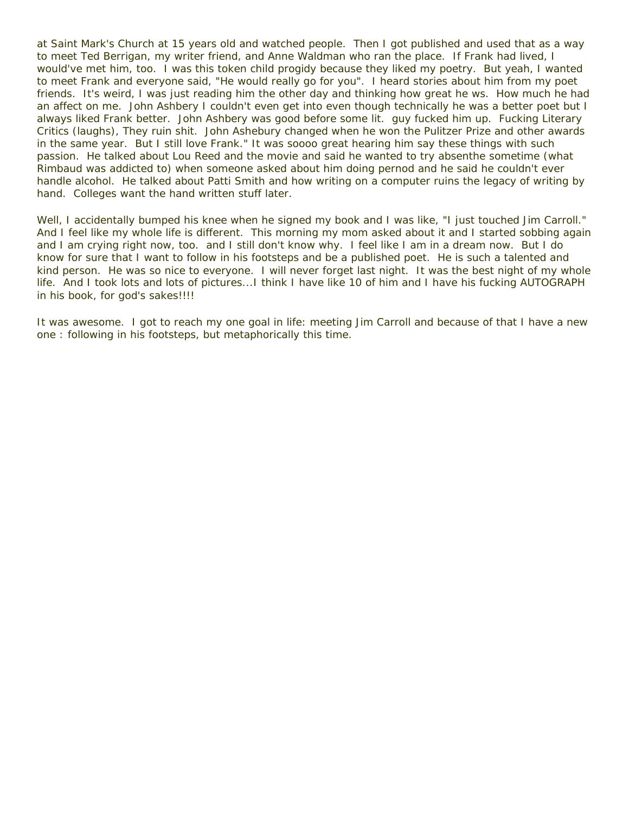at Saint Mark's Church at 15 years old and watched people. Then I got published and used that as a way to meet Ted Berrigan, my writer friend, and Anne Waldman who ran the place. If Frank had lived, I would've met him, too. I was this token child progidy because they liked my poetry. But yeah, I wanted to meet Frank and everyone said, "He would really go for you". I heard stories about him from my poet friends. It's weird, I was just reading him the other day and thinking how great he ws. How much he had an affect on me. John Ashbery I couldn't even get into even though technically he was a better poet but I always liked Frank better. John Ashbery was good before some lit. guy fucked him up. Fucking Literary Critics (laughs), They ruin shit. John Ashebury changed when he won the Pulitzer Prize and other awards in the same year. But I still love Frank." It was soooo great hearing him say these things with such passion. He talked about Lou Reed and the movie and said he wanted to try absenthe sometime (what Rimbaud was addicted to) when someone asked about him doing pernod and he said he couldn't ever handle alcohol. He talked about Patti Smith and how writing on a computer ruins the legacy of writing by hand. Colleges want the hand written stuff later.

Well, I accidentally bumped his knee when he signed my book and I was like, "I just touched Jim Carroll." And I feel like my whole life is different. This morning my mom asked about it and I started sobbing again and I am crying right now, too. and I still don't know why. I feel like I am in a dream now. But I do know for sure that I want to follow in his footsteps and be a published poet. He is such a talented and kind person. He was so nice to everyone. I will never forget last night. It was the best night of my whole life. And I took lots and lots of pictures...I think I have like 10 of him and I have his fucking AUTOGRAPH in his book, for god's sakes!!!!

It was awesome. I got to reach my one goal in life: meeting Jim Carroll and because of that I have a new one : following in his footsteps, but metaphorically this time.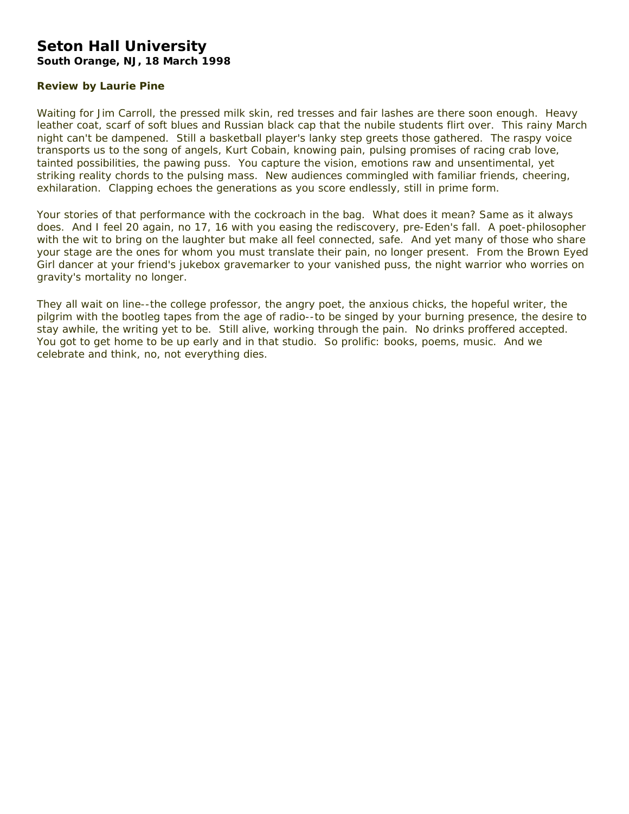# **Seton Hall University South Orange, NJ, 18 March 1998**

## **Review by Laurie Pine**

Waiting for Jim Carroll, the pressed milk skin, red tresses and fair lashes are there soon enough. Heavy leather coat, scarf of soft blues and Russian black cap that the nubile students flirt over. This rainy March night can't be dampened. Still a basketball player's lanky step greets those gathered. The raspy voice transports us to the song of angels, Kurt Cobain, knowing pain, pulsing promises of racing crab love, tainted possibilities, the pawing puss. You capture the vision, emotions raw and unsentimental, yet striking reality chords to the pulsing mass. New audiences commingled with familiar friends, cheering, exhilaration. Clapping echoes the generations as you score endlessly, still in prime form.

Your stories of that performance with the cockroach in the bag. What does it mean? Same as it always does. And I feel 20 again, no 17, 16 with you easing the rediscovery, pre-Eden's fall. A poet-philosopher with the wit to bring on the laughter but make all feel connected, safe. And yet many of those who share your stage are the ones for whom you must translate their pain, no longer present. From the Brown Eyed Girl dancer at your friend's jukebox gravemarker to your vanished puss, the night warrior who worries on gravity's mortality no longer.

They all wait on line--the college professor, the angry poet, the anxious chicks, the hopeful writer, the pilgrim with the bootleg tapes from the age of radio--to be singed by your burning presence, the desire to stay awhile, the writing yet to be. Still alive, working through the pain. No drinks proffered accepted. You got to get home to be up early and in that studio. So prolific: books, poems, music. And we celebrate and think, no, not everything dies.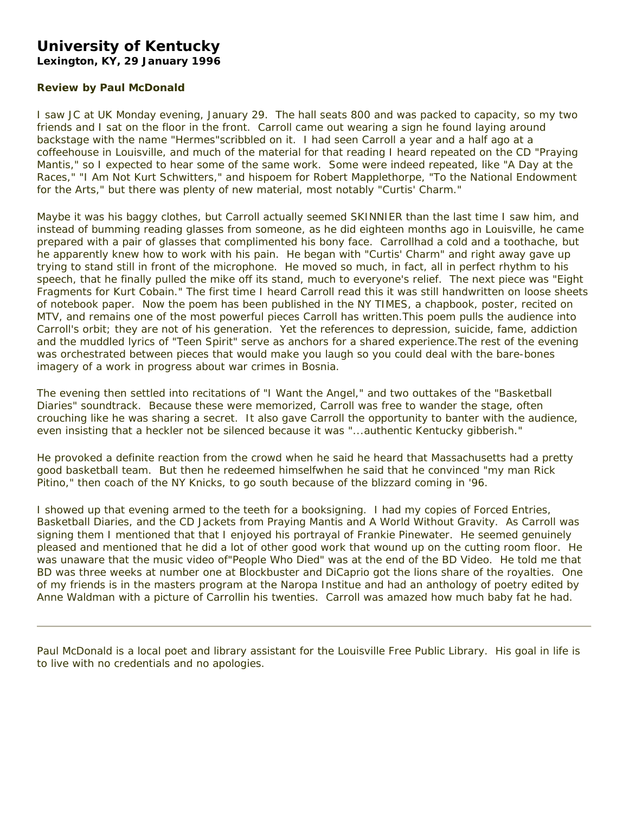# **University of Kentucky**

**Lexington, KY, 29 January 1996** 

# **Review by Paul McDonald**

I saw JC at UK Monday evening, January 29. The hall seats 800 and was packed to capacity, so my two friends and I sat on the floor in the front. Carroll came out wearing a sign he found laying around backstage with the name "Hermes"scribbled on it. I had seen Carroll a year and a half ago at a coffeehouse in Louisville, and much of the material for that reading I heard repeated on the CD "Praying Mantis," so I expected to hear some of the same work. Some were indeed repeated, like "A Day at the Races," "I Am Not Kurt Schwitters," and hispoem for Robert Mapplethorpe, "To the National Endowment for the Arts," but there was plenty of new material, most notably "Curtis' Charm."

Maybe it was his baggy clothes, but Carroll actually seemed SKINNIER than the last time I saw him, and instead of bumming reading glasses from someone, as he did eighteen months ago in Louisville, he came prepared with a pair of glasses that complimented his bony face. Carrollhad a cold and a toothache, but he apparently knew how to work with his pain. He began with "Curtis' Charm" and right away gave up trying to stand still in front of the microphone. He moved so much, in fact, all in perfect rhythm to his speech, that he finally pulled the mike off its stand, much to everyone's relief. The next piece was "Eight Fragments for Kurt Cobain." The first time I heard Carroll read this it was still handwritten on loose sheets of notebook paper. Now the poem has been published in the NY TIMES, a chapbook, poster, recited on MTV, and remains one of the most powerful pieces Carroll has written.This poem pulls the audience into Carroll's orbit; they are not of his generation. Yet the references to depression, suicide, fame, addiction and the muddled lyrics of "Teen Spirit" serve as anchors for a shared experience.The rest of the evening was orchestrated between pieces that would make you laugh so you could deal with the bare-bones imagery of a work in progress about war crimes in Bosnia.

The evening then settled into recitations of "I Want the Angel," and two outtakes of the "Basketball Diaries" soundtrack. Because these were memorized, Carroll was free to wander the stage, often crouching like he was sharing a secret. It also gave Carroll the opportunity to banter with the audience, even insisting that a heckler not be silenced because it was "...authentic Kentucky gibberish."

He provoked a definite reaction from the crowd when he said he heard that Massachusetts had a pretty good basketball team. But then he redeemed himselfwhen he said that he convinced "my man Rick Pitino," then coach of the NY Knicks, to go south because of the blizzard coming in '96.

I showed up that evening armed to the teeth for a booksigning. I had my copies of *Forced Entries*, *Basketball Diaries*, and the CD Jackets from *Praying Mantis* and *A World Without Gravity*. As Carroll was signing them I mentioned that that I enjoyed his portrayal of Frankie Pinewater. He seemed genuinely pleased and mentioned that he did a lot of other good work that wound up on the cutting room floor. He was unaware that the music video of"People Who Died" was at the end of the BD Video. He told me that BD was three weeks at number one at Blockbuster and DiCaprio got the lions share of the royalties. One of my friends is in the masters program at the Naropa Institue and had an anthology of poetry edited by Anne Waldman with a picture of Carrollin his twenties. Carroll was amazed how much baby fat he had.

Paul McDonald is a local poet and library assistant for the Louisville Free Public Library. His goal in life is to live with no credentials and no apologies.